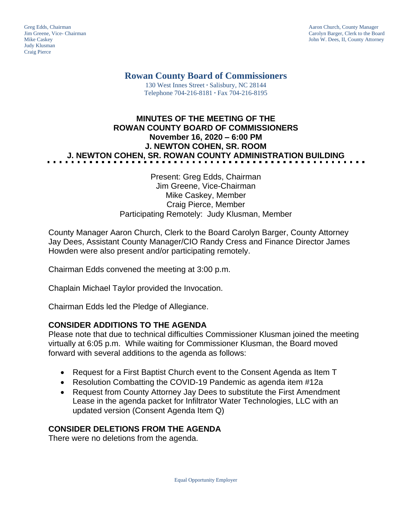Judy Klusman Craig Pierce

Greg Edds, Chairman Aaron Church, County Manager<br>
1989 - Garolyn Barger, Clerk to the Boa<br>
Carolyn Barger, Clerk to the Boa Jim Greene, Vice- Chairman Carolyn Barger, Clerk to the Board John W. Dees, II, County Attorney

**Rowan County Board of Commissioners**

130 West Innes Street **∙** Salisbury, NC 28144 Telephone 704-216-8181 **∙** Fax 704-216-8195

# **MINUTES OF THE MEETING OF THE ROWAN COUNTY BOARD OF COMMISSIONERS November 16, 2020 – 6:00 PM J. NEWTON COHEN, SR. ROOM J. NEWTON COHEN, SR. ROWAN COUNTY ADMINISTRATION BUILDING**

### Present: Greg Edds, Chairman Jim Greene, Vice-Chairman Mike Caskey, Member Craig Pierce, Member Participating Remotely: Judy Klusman, Member

County Manager Aaron Church, Clerk to the Board Carolyn Barger, County Attorney Jay Dees, Assistant County Manager/CIO Randy Cress and Finance Director James Howden were also present and/or participating remotely.

Chairman Edds convened the meeting at 3:00 p.m.

Chaplain Michael Taylor provided the Invocation.

Chairman Edds led the Pledge of Allegiance.

## **CONSIDER ADDITIONS TO THE AGENDA**

Please note that due to technical difficulties Commissioner Klusman joined the meeting virtually at 6:05 p.m. While waiting for Commissioner Klusman, the Board moved forward with several additions to the agenda as follows:

- Request for a First Baptist Church event to the Consent Agenda as Item T
- Resolution Combatting the COVID-19 Pandemic as agenda item #12a
- Request from County Attorney Jay Dees to substitute the First Amendment Lease in the agenda packet for Infiltrator Water Technologies, LLC with an updated version (Consent Agenda Item Q)

## **CONSIDER DELETIONS FROM THE AGENDA**

There were no deletions from the agenda.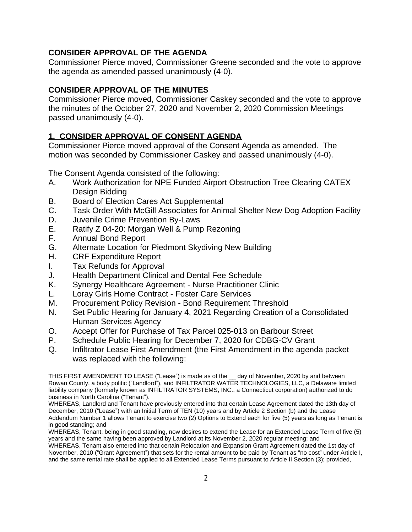# **CONSIDER APPROVAL OF THE AGENDA**

Commissioner Pierce moved, Commissioner Greene seconded and the vote to approve the agenda as amended passed unanimously (4-0).

## **CONSIDER APPROVAL OF THE MINUTES**

Commissioner Pierce moved, Commissioner Caskey seconded and the vote to approve the minutes of the October 27, 2020 and November 2, 2020 Commission Meetings passed unanimously (4-0).

# **1. CONSIDER APPROVAL OF CONSENT AGENDA**

Commissioner Pierce moved approval of the Consent Agenda as amended. The motion was seconded by Commissioner Caskey and passed unanimously (4-0).

The Consent Agenda consisted of the following:

- A. Work Authorization for NPE Funded Airport Obstruction Tree Clearing CATEX Design Bidding
- B. Board of Election Cares Act Supplemental
- C. Task Order With McGill Associates for Animal Shelter New Dog Adoption Facility
- D. Juvenile Crime Prevention By-Laws
- E. Ratify Z 04-20: Morgan Well & Pump Rezoning
- F. Annual Bond Report
- G. Alternate Location for Piedmont Skydiving New Building
- H. CRF Expenditure Report
- I. Tax Refunds for Approval
- J. Health Department Clinical and Dental Fee Schedule
- K. Synergy Healthcare Agreement Nurse Practitioner Clinic
- L. Loray Girls Home Contract Foster Care Services
- M. Procurement Policy Revision Bond Requirement Threshold
- N. Set Public Hearing for January 4, 2021 Regarding Creation of a Consolidated Human Services Agency
- 
- O. Accept Offer for Purchase of Tax Parcel 025-013 on Barbour Street<br>P. Schedule Public Hearing for December 7, 2020 for CDBG-CV Grant Schedule Public Hearing for December 7, 2020 for CDBG-CV Grant
- Q. Infiltrator Lease First Amendment (the First Amendment in the agenda packet was replaced with the following:

THIS FIRST AMENDMENT TO LEASE ("Lease") is made as of the \_\_ day of November, 2020 by and between Rowan County, a body politic ("Landlord"), and INFILTRATOR WATER TECHNOLOGIES, LLC, a Delaware limited liability company (formerly known as INFILTRATOR SYSTEMS, INC., a Connecticut corporation) authorized to do business in North Carolina ("Tenant").

WHEREAS, Landlord and Tenant have previously entered into that certain Lease Agreement dated the 13th day of December, 2010 ("Lease") with an Initial Term of TEN (10) years and by Article 2 Section (b) and the Lease Addendum Number 1 allows Tenant to exercise two (2) Options to Extend each for five (5) years as long as Tenant is in good standing; and

WHEREAS, Tenant, being in good standing, now desires to extend the Lease for an Extended Lease Term of five (5) years and the same having been approved by Landlord at its November 2, 2020 regular meeting; and

WHEREAS, Tenant also entered into that certain Relocation and Expansion Grant Agreement dated the 1st day of November, 2010 ("Grant Agreement") that sets for the rental amount to be paid by Tenant as "no cost" under Article I, and the same rental rate shall be applied to all Extended Lease Terms pursuant to Article II Section (3); provided,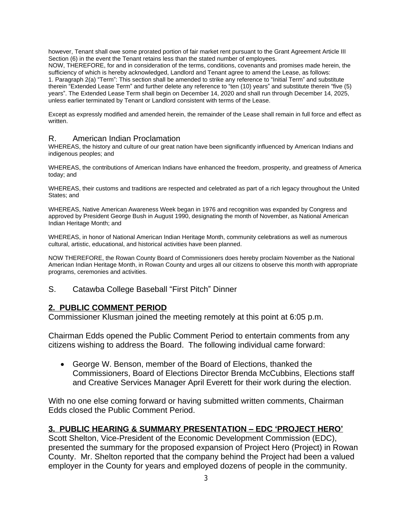however, Tenant shall owe some prorated portion of fair market rent pursuant to the Grant Agreement Article III Section (6) in the event the Tenant retains less than the stated number of employees. NOW, THEREFORE, for and in consideration of the terms, conditions, covenants and promises made herein, the sufficiency of which is hereby acknowledged, Landlord and Tenant agree to amend the Lease, as follows: 1. Paragraph 2(a) "Term": This section shall be amended to strike any reference to "Initial Term" and substitute therein "Extended Lease Term" and further delete any reference to "ten (10) years" and substitute therein "five (5) years". The Extended Lease Term shall begin on December 14, 2020 and shall run through December 14, 2025, unless earlier terminated by Tenant or Landlord consistent with terms of the Lease.

Except as expressly modified and amended herein, the remainder of the Lease shall remain in full force and effect as written.

### R. American Indian Proclamation

WHEREAS, the history and culture of our great nation have been significantly influenced by American Indians and indigenous peoples; and

WHEREAS, the contributions of American Indians have enhanced the freedom, prosperity, and greatness of America today; and

WHEREAS, their customs and traditions are respected and celebrated as part of a rich legacy throughout the United States; and

WHEREAS, Native American Awareness Week began in 1976 and recognition was expanded by Congress and approved by President George Bush in August 1990, designating the month of November, as National American Indian Heritage Month; and

WHEREAS, in honor of National American Indian Heritage Month, community celebrations as well as numerous cultural, artistic, educational, and historical activities have been planned.

NOW THEREFORE, the Rowan County Board of Commissioners does hereby proclaim November as the National American Indian Heritage Month, in Rowan County and urges all our citizens to observe this month with appropriate programs, ceremonies and activities.

S. Catawba College Baseball "First Pitch" Dinner

### **2. PUBLIC COMMENT PERIOD**

Commissioner Klusman joined the meeting remotely at this point at 6:05 p.m.

Chairman Edds opened the Public Comment Period to entertain comments from any citizens wishing to address the Board. The following individual came forward:

 George W. Benson, member of the Board of Elections, thanked the Commissioners, Board of Elections Director Brenda McCubbins, Elections staff and Creative Services Manager April Everett for their work during the election.

With no one else coming forward or having submitted written comments, Chairman Edds closed the Public Comment Period.

### **3. PUBLIC HEARING & SUMMARY PRESENTATION – EDC 'PROJECT HERO'**

Scott Shelton, Vice-President of the Economic Development Commission (EDC), presented the summary for the proposed expansion of Project Hero (Project) in Rowan County. Mr. Shelton reported that the company behind the Project had been a valued employer in the County for years and employed dozens of people in the community.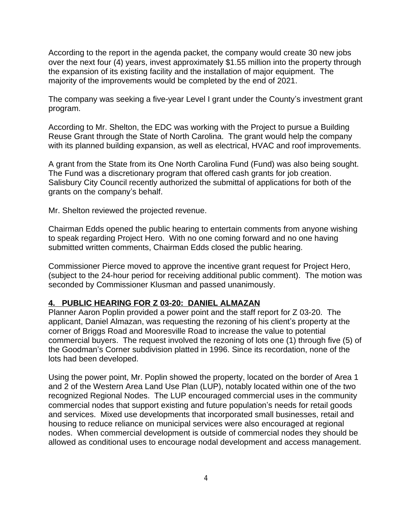According to the report in the agenda packet, the company would create 30 new jobs over the next four (4) years, invest approximately \$1.55 million into the property through the expansion of its existing facility and the installation of major equipment. The majority of the improvements would be completed by the end of 2021.

The company was seeking a five-year Level I grant under the County's investment grant program.

According to Mr. Shelton, the EDC was working with the Project to pursue a Building Reuse Grant through the State of North Carolina. The grant would help the company with its planned building expansion, as well as electrical, HVAC and roof improvements.

A grant from the State from its One North Carolina Fund (Fund) was also being sought. The Fund was a discretionary program that offered cash grants for job creation. Salisbury City Council recently authorized the submittal of applications for both of the grants on the company's behalf.

Mr. Shelton reviewed the projected revenue.

Chairman Edds opened the public hearing to entertain comments from anyone wishing to speak regarding Project Hero. With no one coming forward and no one having submitted written comments, Chairman Edds closed the public hearing.

Commissioner Pierce moved to approve the incentive grant request for Project Hero, (subject to the 24-hour period for receiving additional public comment). The motion was seconded by Commissioner Klusman and passed unanimously.

### **4. PUBLIC HEARING FOR Z 03-20: DANIEL ALMAZAN**

Planner Aaron Poplin provided a power point and the staff report for Z 03-20. The applicant, Daniel Almazan, was requesting the rezoning of his client's property at the corner of Briggs Road and Mooresville Road to increase the value to potential commercial buyers. The request involved the rezoning of lots one (1) through five (5) of the Goodman's Corner subdivision platted in 1996. Since its recordation, none of the lots had been developed.

Using the power point, Mr. Poplin showed the property, located on the border of Area 1 and 2 of the Western Area Land Use Plan (LUP), notably located within one of the two recognized Regional Nodes. The LUP encouraged commercial uses in the community commercial nodes that support existing and future population's needs for retail goods and services. Mixed use developments that incorporated small businesses, retail and housing to reduce reliance on municipal services were also encouraged at regional nodes. When commercial development is outside of commercial nodes they should be allowed as conditional uses to encourage nodal development and access management.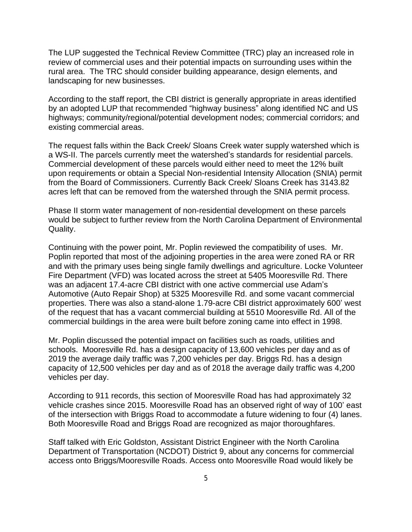The LUP suggested the Technical Review Committee (TRC) play an increased role in review of commercial uses and their potential impacts on surrounding uses within the rural area. The TRC should consider building appearance, design elements, and landscaping for new businesses.

According to the staff report, the CBI district is generally appropriate in areas identified by an adopted LUP that recommended "highway business" along identified NC and US highways; community/regional/potential development nodes; commercial corridors; and existing commercial areas.

The request falls within the Back Creek/ Sloans Creek water supply watershed which is a WS-II. The parcels currently meet the watershed's standards for residential parcels. Commercial development of these parcels would either need to meet the 12% built upon requirements or obtain a Special Non-residential Intensity Allocation (SNIA) permit from the Board of Commissioners. Currently Back Creek/ Sloans Creek has 3143.82 acres left that can be removed from the watershed through the SNIA permit process.

Phase II storm water management of non-residential development on these parcels would be subject to further review from the North Carolina Department of Environmental Quality.

Continuing with the power point, Mr. Poplin reviewed the compatibility of uses. Mr. Poplin reported that most of the adjoining properties in the area were zoned RA or RR and with the primary uses being single family dwellings and agriculture. Locke Volunteer Fire Department (VFD) was located across the street at 5405 Mooresville Rd. There was an adjacent 17.4-acre CBI district with one active commercial use Adam's Automotive (Auto Repair Shop) at 5325 Mooresville Rd. and some vacant commercial properties. There was also a stand-alone 1.79-acre CBI district approximately 600' west of the request that has a vacant commercial building at 5510 Mooresville Rd. All of the commercial buildings in the area were built before zoning came into effect in 1998.

Mr. Poplin discussed the potential impact on facilities such as roads, utilities and schools. Mooresville Rd. has a design capacity of 13,600 vehicles per day and as of 2019 the average daily traffic was 7,200 vehicles per day. Briggs Rd. has a design capacity of 12,500 vehicles per day and as of 2018 the average daily traffic was 4,200 vehicles per day.

According to 911 records, this section of Mooresville Road has had approximately 32 vehicle crashes since 2015. Mooresville Road has an observed right of way of 100' east of the intersection with Briggs Road to accommodate a future widening to four (4) lanes. Both Mooresville Road and Briggs Road are recognized as major thoroughfares.

Staff talked with Eric Goldston, Assistant District Engineer with the North Carolina Department of Transportation (NCDOT) District 9, about any concerns for commercial access onto Briggs/Mooresville Roads. Access onto Mooresville Road would likely be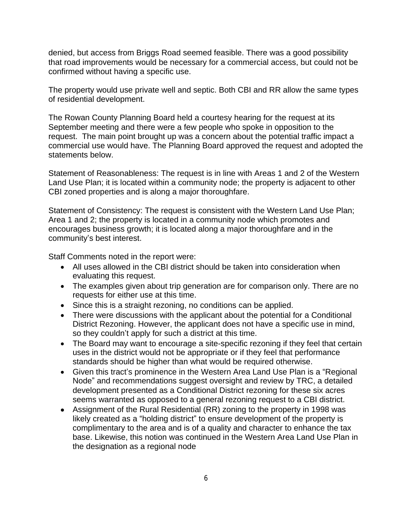denied, but access from Briggs Road seemed feasible. There was a good possibility that road improvements would be necessary for a commercial access, but could not be confirmed without having a specific use.

The property would use private well and septic. Both CBI and RR allow the same types of residential development.

The Rowan County Planning Board held a courtesy hearing for the request at its September meeting and there were a few people who spoke in opposition to the request. The main point brought up was a concern about the potential traffic impact a commercial use would have. The Planning Board approved the request and adopted the statements below.

Statement of Reasonableness: The request is in line with Areas 1 and 2 of the Western Land Use Plan; it is located within a community node; the property is adjacent to other CBI zoned properties and is along a major thoroughfare.

Statement of Consistency: The request is consistent with the Western Land Use Plan; Area 1 and 2; the property is located in a community node which promotes and encourages business growth; it is located along a major thoroughfare and in the community's best interest.

Staff Comments noted in the report were:

- All uses allowed in the CBI district should be taken into consideration when evaluating this request.
- The examples given about trip generation are for comparison only. There are no requests for either use at this time.
- Since this is a straight rezoning, no conditions can be applied.
- There were discussions with the applicant about the potential for a Conditional District Rezoning. However, the applicant does not have a specific use in mind, so they couldn't apply for such a district at this time.
- The Board may want to encourage a site-specific rezoning if they feel that certain uses in the district would not be appropriate or if they feel that performance standards should be higher than what would be required otherwise.
- Given this tract's prominence in the Western Area Land Use Plan is a "Regional Node" and recommendations suggest oversight and review by TRC, a detailed development presented as a Conditional District rezoning for these six acres seems warranted as opposed to a general rezoning request to a CBI district.
- Assignment of the Rural Residential (RR) zoning to the property in 1998 was likely created as a "holding district" to ensure development of the property is complimentary to the area and is of a quality and character to enhance the tax base. Likewise, this notion was continued in the Western Area Land Use Plan in the designation as a regional node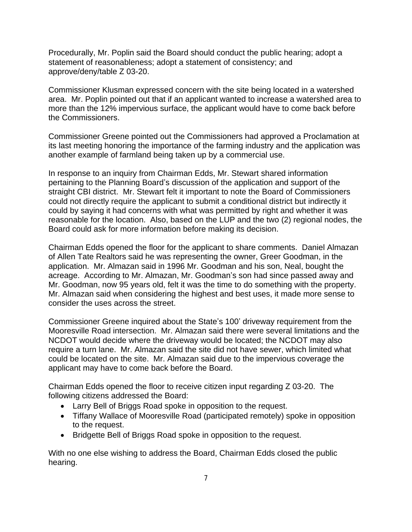Procedurally, Mr. Poplin said the Board should conduct the public hearing; adopt a statement of reasonableness; adopt a statement of consistency; and approve/deny/table Z 03-20.

Commissioner Klusman expressed concern with the site being located in a watershed area. Mr. Poplin pointed out that if an applicant wanted to increase a watershed area to more than the 12% impervious surface, the applicant would have to come back before the Commissioners.

Commissioner Greene pointed out the Commissioners had approved a Proclamation at its last meeting honoring the importance of the farming industry and the application was another example of farmland being taken up by a commercial use.

In response to an inquiry from Chairman Edds, Mr. Stewart shared information pertaining to the Planning Board's discussion of the application and support of the straight CBI district. Mr. Stewart felt it important to note the Board of Commissioners could not directly require the applicant to submit a conditional district but indirectly it could by saying it had concerns with what was permitted by right and whether it was reasonable for the location. Also, based on the LUP and the two (2) regional nodes, the Board could ask for more information before making its decision.

Chairman Edds opened the floor for the applicant to share comments. Daniel Almazan of Allen Tate Realtors said he was representing the owner, Greer Goodman, in the application. Mr. Almazan said in 1996 Mr. Goodman and his son, Neal, bought the acreage. According to Mr. Almazan, Mr. Goodman's son had since passed away and Mr. Goodman, now 95 years old, felt it was the time to do something with the property. Mr. Almazan said when considering the highest and best uses, it made more sense to consider the uses across the street.

Commissioner Greene inquired about the State's 100' driveway requirement from the Mooresville Road intersection. Mr. Almazan said there were several limitations and the NCDOT would decide where the driveway would be located; the NCDOT may also require a turn lane. Mr. Almazan said the site did not have sewer, which limited what could be located on the site. Mr. Almazan said due to the impervious coverage the applicant may have to come back before the Board.

Chairman Edds opened the floor to receive citizen input regarding Z 03-20. The following citizens addressed the Board:

- Larry Bell of Briggs Road spoke in opposition to the request.
- Tiffany Wallace of Mooresville Road (participated remotely) spoke in opposition to the request.
- Bridgette Bell of Briggs Road spoke in opposition to the request.

With no one else wishing to address the Board, Chairman Edds closed the public hearing.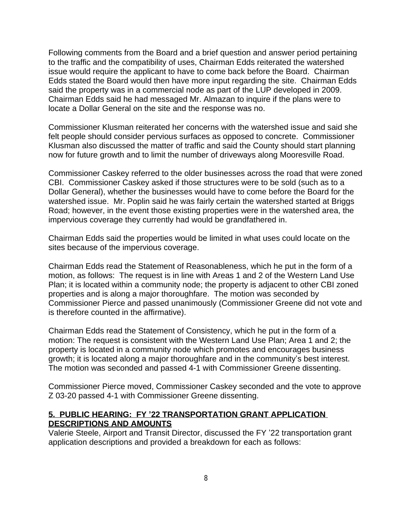Following comments from the Board and a brief question and answer period pertaining to the traffic and the compatibility of uses, Chairman Edds reiterated the watershed issue would require the applicant to have to come back before the Board. Chairman Edds stated the Board would then have more input regarding the site. Chairman Edds said the property was in a commercial node as part of the LUP developed in 2009. Chairman Edds said he had messaged Mr. Almazan to inquire if the plans were to locate a Dollar General on the site and the response was no.

Commissioner Klusman reiterated her concerns with the watershed issue and said she felt people should consider pervious surfaces as opposed to concrete. Commissioner Klusman also discussed the matter of traffic and said the County should start planning now for future growth and to limit the number of driveways along Mooresville Road.

Commissioner Caskey referred to the older businesses across the road that were zoned CBI. Commissioner Caskey asked if those structures were to be sold (such as to a Dollar General), whether the businesses would have to come before the Board for the watershed issue. Mr. Poplin said he was fairly certain the watershed started at Briggs Road; however, in the event those existing properties were in the watershed area, the impervious coverage they currently had would be grandfathered in.

Chairman Edds said the properties would be limited in what uses could locate on the sites because of the impervious coverage.

Chairman Edds read the Statement of Reasonableness, which he put in the form of a motion, as follows: The request is in line with Areas 1 and 2 of the Western Land Use Plan; it is located within a community node; the property is adjacent to other CBI zoned properties and is along a major thoroughfare. The motion was seconded by Commissioner Pierce and passed unanimously (Commissioner Greene did not vote and is therefore counted in the affirmative).

Chairman Edds read the Statement of Consistency, which he put in the form of a motion: The request is consistent with the Western Land Use Plan; Area 1 and 2; the property is located in a community node which promotes and encourages business growth; it is located along a major thoroughfare and in the community's best interest. The motion was seconded and passed 4-1 with Commissioner Greene dissenting.

Commissioner Pierce moved, Commissioner Caskey seconded and the vote to approve Z 03-20 passed 4-1 with Commissioner Greene dissenting.

### **5. PUBLIC HEARING: FY '22 TRANSPORTATION GRANT APPLICATION DESCRIPTIONS AND AMOUNTS**

Valerie Steele, Airport and Transit Director, discussed the FY '22 transportation grant application descriptions and provided a breakdown for each as follows: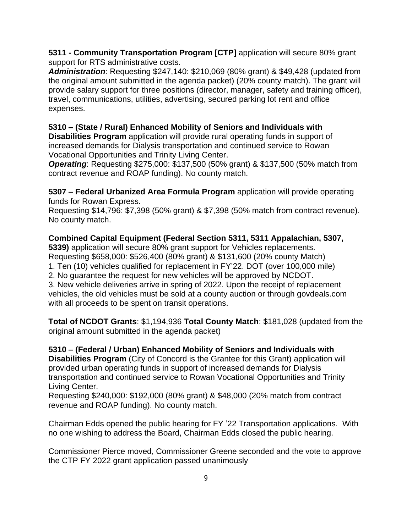**5311 - Community Transportation Program [CTP]** application will secure 80% grant support for RTS administrative costs.

*Administration*: Requesting \$247,140: \$210,069 (80% grant) & \$49,428 (updated from the original amount submitted in the agenda packet) (20% county match). The grant will provide salary support for three positions (director, manager, safety and training officer), travel, communications, utilities, advertising, secured parking lot rent and office expenses.

## **5310 – (State / Rural) Enhanced Mobility of Seniors and Individuals with**

**Disabilities Program** application will provide rural operating funds in support of increased demands for Dialysis transportation and continued service to Rowan Vocational Opportunities and Trinity Living Center.

*Operating*: Requesting \$275,000: \$137,500 (50% grant) & \$137,500 (50% match from contract revenue and ROAP funding). No county match.

**5307 – Federal Urbanized Area Formula Program** application will provide operating funds for Rowan Express.

Requesting \$14,796: \$7,398 (50% grant) & \$7,398 (50% match from contract revenue). No county match.

## **Combined Capital Equipment (Federal Section 5311, 5311 Appalachian, 5307,**

**5339)** application will secure 80% grant support for Vehicles replacements. Requesting \$658,000: \$526,400 (80% grant) & \$131,600 (20% county Match)

1. Ten (10) vehicles qualified for replacement in FY'22. DOT (over 100,000 mile)

2. No guarantee the request for new vehicles will be approved by NCDOT.

3. New vehicle deliveries arrive in spring of 2022. Upon the receipt of replacement vehicles, the old vehicles must be sold at a county auction or through govdeals.com with all proceeds to be spent on transit operations.

**Total of NCDOT Grants**: \$1,194,936 **Total County Match**: \$181,028 (updated from the original amount submitted in the agenda packet)

**5310 – (Federal / Urban) Enhanced Mobility of Seniors and Individuals with Disabilities Program** (City of Concord is the Grantee for this Grant) application will provided urban operating funds in support of increased demands for Dialysis transportation and continued service to Rowan Vocational Opportunities and Trinity Living Center.

Requesting \$240,000: \$192,000 (80% grant) & \$48,000 (20% match from contract revenue and ROAP funding). No county match.

Chairman Edds opened the public hearing for FY '22 Transportation applications. With no one wishing to address the Board, Chairman Edds closed the public hearing.

Commissioner Pierce moved, Commissioner Greene seconded and the vote to approve the CTP FY 2022 grant application passed unanimously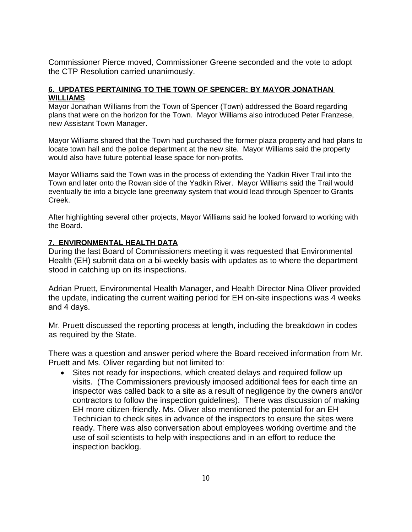Commissioner Pierce moved, Commissioner Greene seconded and the vote to adopt the CTP Resolution carried unanimously.

### **6. UPDATES PERTAINING TO THE TOWN OF SPENCER: BY MAYOR JONATHAN WILLIAMS**

Mayor Jonathan Williams from the Town of Spencer (Town) addressed the Board regarding plans that were on the horizon for the Town. Mayor Williams also introduced Peter Franzese, new Assistant Town Manager.

Mayor Williams shared that the Town had purchased the former plaza property and had plans to locate town hall and the police department at the new site. Mayor Williams said the property would also have future potential lease space for non-profits.

Mayor Williams said the Town was in the process of extending the Yadkin River Trail into the Town and later onto the Rowan side of the Yadkin River. Mayor Williams said the Trail would eventually tie into a bicycle lane greenway system that would lead through Spencer to Grants Creek.

After highlighting several other projects, Mayor Williams said he looked forward to working with the Board.

### **7. ENVIRONMENTAL HEALTH DATA**

During the last Board of Commissioners meeting it was requested that Environmental Health (EH) submit data on a bi-weekly basis with updates as to where the department stood in catching up on its inspections.

Adrian Pruett, Environmental Health Manager, and Health Director Nina Oliver provided the update, indicating the current waiting period for EH on-site inspections was 4 weeks and 4 days.

Mr. Pruett discussed the reporting process at length, including the breakdown in codes as required by the State.

There was a question and answer period where the Board received information from Mr. Pruett and Ms. Oliver regarding but not limited to:

 Sites not ready for inspections, which created delays and required follow up visits. (The Commissioners previously imposed additional fees for each time an inspector was called back to a site as a result of negligence by the owners and/or contractors to follow the inspection guidelines). There was discussion of making EH more citizen-friendly. Ms. Oliver also mentioned the potential for an EH Technician to check sites in advance of the inspectors to ensure the sites were ready. There was also conversation about employees working overtime and the use of soil scientists to help with inspections and in an effort to reduce the inspection backlog.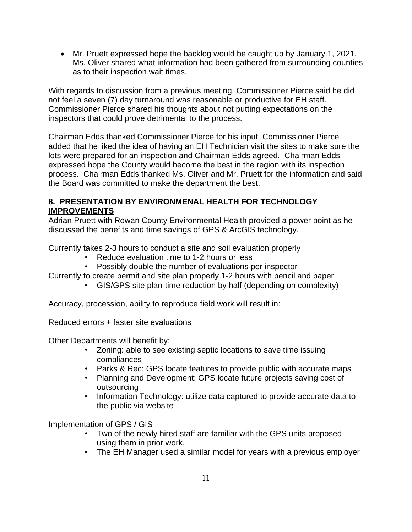Mr. Pruett expressed hope the backlog would be caught up by January 1, 2021. Ms. Oliver shared what information had been gathered from surrounding counties as to their inspection wait times.

With regards to discussion from a previous meeting, Commissioner Pierce said he did not feel a seven (7) day turnaround was reasonable or productive for EH staff. Commissioner Pierce shared his thoughts about not putting expectations on the inspectors that could prove detrimental to the process.

Chairman Edds thanked Commissioner Pierce for his input. Commissioner Pierce added that he liked the idea of having an EH Technician visit the sites to make sure the lots were prepared for an inspection and Chairman Edds agreed. Chairman Edds expressed hope the County would become the best in the region with its inspection process. Chairman Edds thanked Ms. Oliver and Mr. Pruett for the information and said the Board was committed to make the department the best.

# **8. PRESENTATION BY ENVIRONMENAL HEALTH FOR TECHNOLOGY IMPROVEMENTS**

Adrian Pruett with Rowan County Environmental Health provided a power point as he discussed the benefits and time savings of GPS & ArcGIS technology.

Currently takes 2-3 hours to conduct a site and soil evaluation properly

- Reduce evaluation time to 1-2 hours or less
- Possibly double the number of evaluations per inspector

Currently to create permit and site plan properly 1-2 hours with pencil and paper

• GIS/GPS site plan-time reduction by half (depending on complexity)

Accuracy, procession, ability to reproduce field work will result in:

Reduced errors + faster site evaluations

Other Departments will benefit by:

- Zoning: able to see existing septic locations to save time issuing compliances
- Parks & Rec: GPS locate features to provide public with accurate maps
- Planning and Development: GPS locate future projects saving cost of outsourcing
- Information Technology: utilize data captured to provide accurate data to the public via website

Implementation of GPS / GIS

- Two of the newly hired staff are familiar with the GPS units proposed using them in prior work.
- The EH Manager used a similar model for years with a previous employer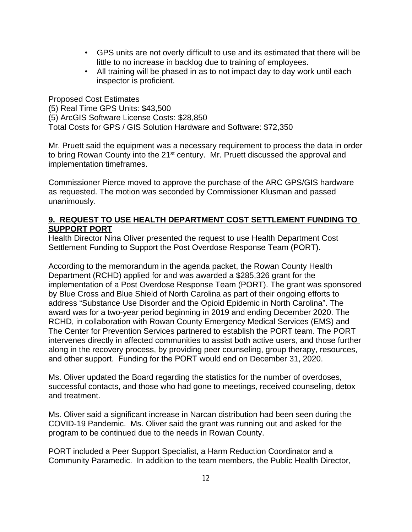- GPS units are not overly difficult to use and its estimated that there will be little to no increase in backlog due to training of employees.
- All training will be phased in as to not impact day to day work until each inspector is proficient.

Proposed Cost Estimates (5) Real Time GPS Units: \$43,500 (5) ArcGIS Software License Costs: \$28,850 Total Costs for GPS / GIS Solution Hardware and Software: \$72,350

Mr. Pruett said the equipment was a necessary requirement to process the data in order to bring Rowan County into the 21<sup>st</sup> century. Mr. Pruett discussed the approval and implementation timeframes.

Commissioner Pierce moved to approve the purchase of the ARC GPS/GIS hardware as requested. The motion was seconded by Commissioner Klusman and passed unanimously.

## **9. REQUEST TO USE HEALTH DEPARTMENT COST SETTLEMENT FUNDING TO SUPPORT PORT**

Health Director Nina Oliver presented the request to use Health Department Cost Settlement Funding to Support the Post Overdose Response Team (PORT).

According to the memorandum in the agenda packet, the Rowan County Health Department (RCHD) applied for and was awarded a \$285,326 grant for the implementation of a Post Overdose Response Team (PORT). The grant was sponsored by Blue Cross and Blue Shield of North Carolina as part of their ongoing efforts to address "Substance Use Disorder and the Opioid Epidemic in North Carolina". The award was for a two-year period beginning in 2019 and ending December 2020. The RCHD, in collaboration with Rowan County Emergency Medical Services (EMS) and The Center for Prevention Services partnered to establish the PORT team. The PORT intervenes directly in affected communities to assist both active users, and those further along in the recovery process, by providing peer counseling, group therapy, resources, and other support. Funding for the PORT would end on December 31, 2020.

Ms. Oliver updated the Board regarding the statistics for the number of overdoses, successful contacts, and those who had gone to meetings, received counseling, detox and treatment.

Ms. Oliver said a significant increase in Narcan distribution had been seen during the COVID-19 Pandemic. Ms. Oliver said the grant was running out and asked for the program to be continued due to the needs in Rowan County.

PORT included a Peer Support Specialist, a Harm Reduction Coordinator and a Community Paramedic. In addition to the team members, the Public Health Director,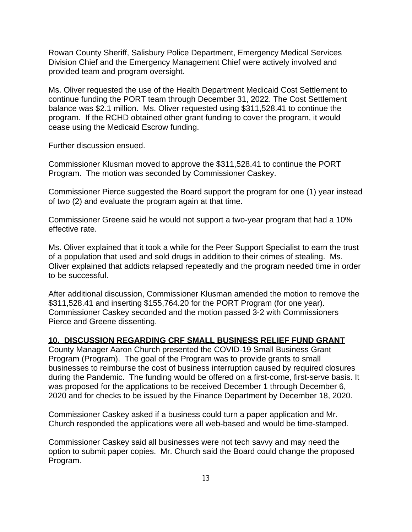Rowan County Sheriff, Salisbury Police Department, Emergency Medical Services Division Chief and the Emergency Management Chief were actively involved and provided team and program oversight.

Ms. Oliver requested the use of the Health Department Medicaid Cost Settlement to continue funding the PORT team through December 31, 2022. The Cost Settlement balance was \$2.1 million. Ms. Oliver requested using \$311,528.41 to continue the program. If the RCHD obtained other grant funding to cover the program, it would cease using the Medicaid Escrow funding.

Further discussion ensued.

Commissioner Klusman moved to approve the \$311,528.41 to continue the PORT Program. The motion was seconded by Commissioner Caskey.

Commissioner Pierce suggested the Board support the program for one (1) year instead of two (2) and evaluate the program again at that time.

Commissioner Greene said he would not support a two-year program that had a 10% effective rate.

Ms. Oliver explained that it took a while for the Peer Support Specialist to earn the trust of a population that used and sold drugs in addition to their crimes of stealing. Ms. Oliver explained that addicts relapsed repeatedly and the program needed time in order to be successful.

After additional discussion, Commissioner Klusman amended the motion to remove the \$311,528.41 and inserting \$155,764.20 for the PORT Program (for one year). Commissioner Caskey seconded and the motion passed 3-2 with Commissioners Pierce and Greene dissenting.

## **10. DISCUSSION REGARDING CRF SMALL BUSINESS RELIEF FUND GRANT**

County Manager Aaron Church presented the COVID-19 Small Business Grant Program (Program). The goal of the Program was to provide grants to small businesses to reimburse the cost of business interruption caused by required closures during the Pandemic. The funding would be offered on a first-come, first-serve basis. It was proposed for the applications to be received December 1 through December 6, 2020 and for checks to be issued by the Finance Department by December 18, 2020.

Commissioner Caskey asked if a business could turn a paper application and Mr. Church responded the applications were all web-based and would be time-stamped.

Commissioner Caskey said all businesses were not tech savvy and may need the option to submit paper copies. Mr. Church said the Board could change the proposed Program.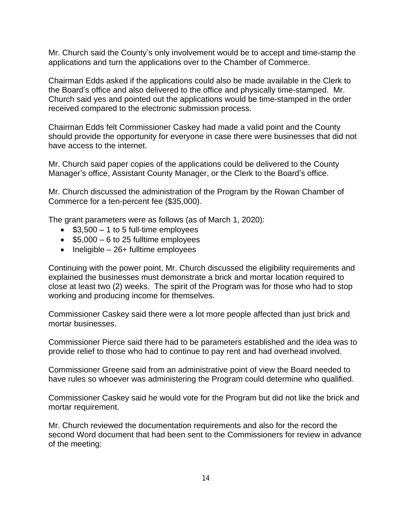Mr. Church said the County's only involvement would be to accept and time-stamp the applications and turn the applications over to the Chamber of Commerce.

Chairman Edds asked if the applications could also be made available in the Clerk to the Board's office and also delivered to the office and physically time-stamped. Mr. Church said yes and pointed out the applications would be time-stamped in the order received compared to the electronic submission process.

Chairman Edds felt Commissioner Caskey had made a valid point and the County should provide the opportunity for everyone in case there were businesses that did not have access to the internet.

Mr. Church said paper copies of the applications could be delivered to the County Manager's office, Assistant County Manager, or the Clerk to the Board's office.

Mr. Church discussed the administration of the Program by the Rowan Chamber of Commerce for a ten-percent fee (\$35,000).

The grant parameters were as follows (as of March 1, 2020):

- $\bullet$  \$3,500 1 to 5 full-time employees
- $\bullet$  \$5,000 6 to 25 fulltime employees
- $\bullet$  Ineligible 26+ fulltime employees

Continuing with the power point, Mr. Church discussed the eligibility requirements and explained the businesses must demonstrate a brick and mortar location required to close at least two (2) weeks. The spirit of the Program was for those who had to stop working and producing income for themselves.

Commissioner Caskey said there were a lot more people affected than just brick and mortar businesses.

Commissioner Pierce said there had to be parameters established and the idea was to provide relief to those who had to continue to pay rent and had overhead involved.

Commissioner Greene said from an administrative point of view the Board needed to have rules so whoever was administering the Program could determine who qualified.

Commissioner Caskey said he would vote for the Program but did not like the brick and mortar requirement.

Mr. Church reviewed the documentation requirements and also for the record the second Word document that had been sent to the Commissioners for review in advance of the meeting: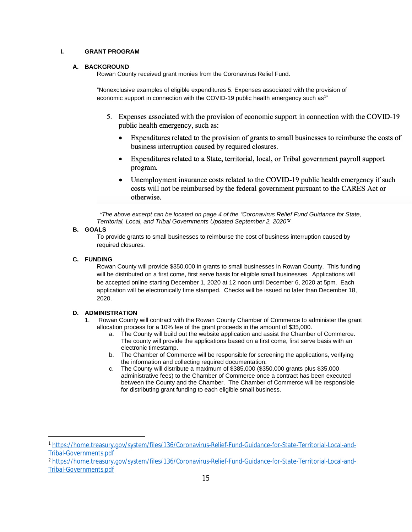### **I. GRANT PROGRAM**

#### **A. BACKGROUND**

Rowan County received grant monies from the Coronavirus Relief Fund.

"Nonexclusive examples of eligible expenditures 5. Expenses associated with the provision of economic support in connection with the COVID-19 public health emergency such as<sup>1"</sup>

- 5. Expenses associated with the provision of economic support in connection with the COVID-19 public health emergency, such as:
	- Expenditures related to the provision of grants to small businesses to reimburse the costs of  $\bullet$ business interruption caused by required closures.
	- Expenditures related to a State, territorial, local, or Tribal government payroll support  $\bullet$ program.
	- Unemployment insurance costs related to the COVID-19 public health emergency if such costs will not be reimbursed by the federal government pursuant to the CARES Act or otherwise.

*\*The above excerpt can be located on page 4 of the "Coronavirus Relief Fund Guidance for State, Territorial, Local, and Tribal Governments Updated September 2, 2020" 2*

### **B. GOALS**

To provide grants to small businesses to reimburse the cost of business interruption caused by required closures.

#### **C. FUNDING**

Rowan County will provide \$350,000 in grants to small businesses in Rowan County. This funding will be distributed on a first come, first serve basis for eligible small businesses. Applications will be accepted online starting December 1, 2020 at 12 noon until December 6, 2020 at 5pm. Each application will be electronically time stamped. Checks will be issued no later than December 18, 2020.

#### **D. ADMINISTRATION**

- 1. Rowan County will contract with the Rowan County Chamber of Commerce to administer the grant allocation process for a 10% fee of the grant proceeds in the amount of \$35,000.
	- a. The County will build out the website application and assist the Chamber of Commerce. The county will provide the applications based on a first come, first serve basis with an electronic timestamp.
	- b. The Chamber of Commerce will be responsible for screening the applications, verifying the information and collecting required documentation.
	- c. The County will distribute a maximum of \$385,000 (\$350,000 grants plus \$35,000 administrative fees) to the Chamber of Commerce once a contract has been executed between the County and the Chamber. The Chamber of Commerce will be responsible for distributing grant funding to each eligible small business.

<sup>1</sup> [https://home.treasury.gov/system/files/136/Coronavirus-Relief-Fund-Guidance-for-State-Territorial-Local-and-](https://home.treasury.gov/system/files/136/Coronavirus-Relief-Fund-Guidance-for-State-Territorial-Local-and-Tribal-Governments.pdf)Tribal-Governments.pdf

<sup>2</sup> [https://home.treasury.gov/system/files/136/Coronavirus-Relief-Fund-Guidance-for-State-Territorial-Local-and-](https://home.treasury.gov/system/files/136/Coronavirus-Relief-Fund-Guidance-for-State-Territorial-Local-and-Tribal-Governments.pdf)Tribal-Governments.pdf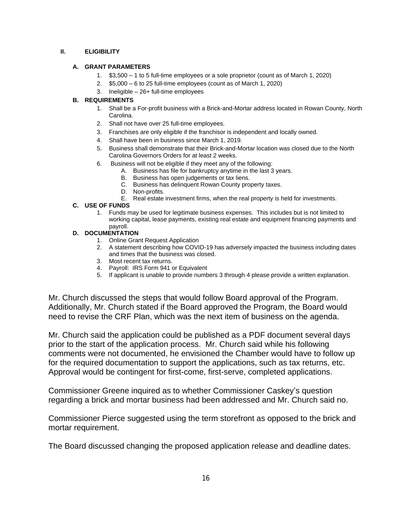### **II. ELIGIBILITY**

### **A. GRANT PARAMETERS**

- 1. \$3,500 1 to 5 full-time employees or a sole proprietor (count as of March 1, 2020)
- 2. \$5,000 6 to 25 full-time employees (count as of March 1, 2020)
- 3. Ineligible 26+ full-time employees

### **B. REQUIREMENTS**

- 1. Shall be a For-profit business with a Brick-and-Mortar address located in Rowan County, North Carolina.
- 2. Shall not have over 25 full-time employees.
- 3. Franchises are only eligible if the franchisor is independent and locally owned.
- 4. Shall have been in business since March 1, 2019.
- 5. Business shall demonstrate that their Brick-and-Mortar location was closed due to the North Carolina Governors Orders for at least 2 weeks.
- 6. Business will not be eligible if they meet any of the following:
	- A. Business has file for bankruptcy anytime in the last 3 years.
	- B. Business has open judgements or tax liens.
	- C. Business has delinquent Rowan County property taxes.
	- D. Non-profits.
	- E. Real estate investment firms, when the real property is held for investments.

### **C. USE OF FUNDS**

1. Funds may be used for legitimate business expenses. This includes but is not limited to working capital, lease payments, existing real estate and equipment financing payments and payroll.

### **D. DOCUMENTATION**

- 1. Online Grant Request Application
- 2. A statement describing how COVID-19 has adversely impacted the business including dates and times that the business was closed.
- 3. Most recent tax returns.
- 4. Payroll: IRS Form 941 or Equivalent
- 5. If applicant is unable to provide numbers 3 through 4 please provide a written explanation.

Mr. Church discussed the steps that would follow Board approval of the Program. Additionally, Mr. Church stated if the Board approved the Program, the Board would need to revise the CRF Plan, which was the next item of business on the agenda.

Mr. Church said the application could be published as a PDF document several days prior to the start of the application process. Mr. Church said while his following comments were not documented, he envisioned the Chamber would have to follow up for the required documentation to support the applications, such as tax returns, etc. Approval would be contingent for first-come, first-serve, completed applications.

Commissioner Greene inquired as to whether Commissioner Caskey's question regarding a brick and mortar business had been addressed and Mr. Church said no.

Commissioner Pierce suggested using the term storefront as opposed to the brick and mortar requirement.

The Board discussed changing the proposed application release and deadline dates.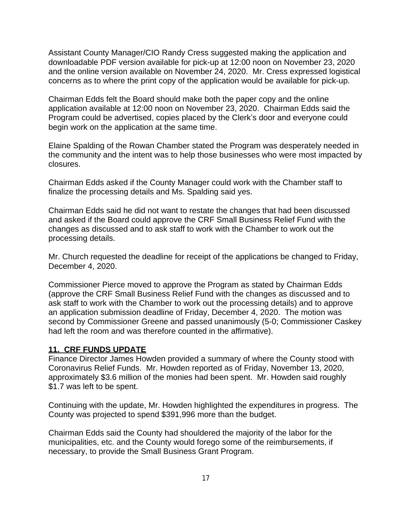Assistant County Manager/CIO Randy Cress suggested making the application and downloadable PDF version available for pick-up at 12:00 noon on November 23, 2020 and the online version available on November 24, 2020. Mr. Cress expressed logistical concerns as to where the print copy of the application would be available for pick-up.

Chairman Edds felt the Board should make both the paper copy and the online application available at 12:00 noon on November 23, 2020. Chairman Edds said the Program could be advertised, copies placed by the Clerk's door and everyone could begin work on the application at the same time.

Elaine Spalding of the Rowan Chamber stated the Program was desperately needed in the community and the intent was to help those businesses who were most impacted by closures.

Chairman Edds asked if the County Manager could work with the Chamber staff to finalize the processing details and Ms. Spalding said yes.

Chairman Edds said he did not want to restate the changes that had been discussed and asked if the Board could approve the CRF Small Business Relief Fund with the changes as discussed and to ask staff to work with the Chamber to work out the processing details.

Mr. Church requested the deadline for receipt of the applications be changed to Friday, December 4, 2020.

Commissioner Pierce moved to approve the Program as stated by Chairman Edds (approve the CRF Small Business Relief Fund with the changes as discussed and to ask staff to work with the Chamber to work out the processing details) and to approve an application submission deadline of Friday, December 4, 2020. The motion was second by Commissioner Greene and passed unanimously (5-0; Commissioner Caskey had left the room and was therefore counted in the affirmative).

## **11. CRF FUNDS UPDATE**

Finance Director James Howden provided a summary of where the County stood with Coronavirus Relief Funds. Mr. Howden reported as of Friday, November 13, 2020, approximately \$3.6 million of the monies had been spent. Mr. Howden said roughly \$1.7 was left to be spent.

Continuing with the update, Mr. Howden highlighted the expenditures in progress. The County was projected to spend \$391,996 more than the budget.

Chairman Edds said the County had shouldered the majority of the labor for the municipalities, etc. and the County would forego some of the reimbursements, if necessary, to provide the Small Business Grant Program.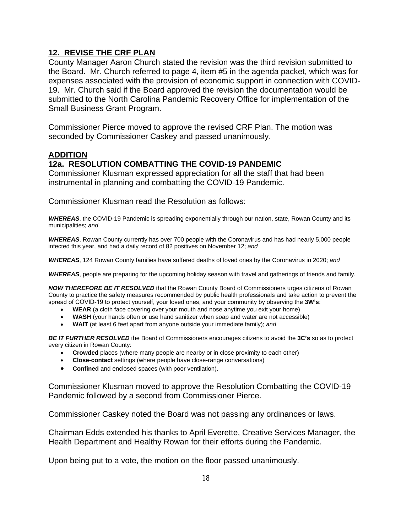### **12. REVISE THE CRF PLAN**

County Manager Aaron Church stated the revision was the third revision submitted to the Board. Mr. Church referred to page 4, item #5 in the agenda packet, which was for expenses associated with the provision of economic support in connection with COVID-19. Mr. Church said if the Board approved the revision the documentation would be submitted to the North Carolina Pandemic Recovery Office for implementation of the Small Business Grant Program.

Commissioner Pierce moved to approve the revised CRF Plan. The motion was seconded by Commissioner Caskey and passed unanimously.

### **ADDITION**

### **12a. RESOLUTION COMBATTING THE COVID-19 PANDEMIC**

Commissioner Klusman expressed appreciation for all the staff that had been instrumental in planning and combatting the COVID-19 Pandemic.

Commissioner Klusman read the Resolution as follows:

*WHEREAS*, the COVID-19 Pandemic is spreading exponentially through our nation, state, Rowan County and its municipalities; *and*

*WHEREAS*, Rowan County currently has over 700 people with the Coronavirus and has had nearly 5,000 people infected this year, and had a daily record of 82 positives on November 12; *and*

*WHEREAS*, 124 Rowan County families have suffered deaths of loved ones by the Coronavirus in 2020; *and*

*WHEREAS*, people are preparing for the upcoming holiday season with travel and gatherings of friends and family.

*NOW THEREFORE BE IT RESOLVED* that the Rowan County Board of Commissioners urges citizens of Rowan County to practice the safety measures recommended by public health professionals and take action to prevent the spread of COVID-19 to protect yourself, your loved ones, and your community by observing the **3W's**:

- **WEAR** (a cloth face covering over your mouth and nose anytime you exit your home)
- **WASH** (your hands often or use hand sanitizer when soap and water are not accessible)
- **WAIT** (at least 6 feet apart from anyone outside your immediate family); *and*

*BE IT FURTHER RESOLVED* the Board of Commissioners encourages citizens to avoid the **3C's** so as to protect every citizen in Rowan County:

- **Crowded** places (where many people are nearby or in close proximity to each other)
- **Close-contact** settings (where people have close-range conversations)
- **Confined** and enclosed spaces (with poor ventilation).

Commissioner Klusman moved to approve the Resolution Combatting the COVID-19 Pandemic followed by a second from Commissioner Pierce.

Commissioner Caskey noted the Board was not passing any ordinances or laws.

Chairman Edds extended his thanks to April Everette, Creative Services Manager, the Health Department and Healthy Rowan for their efforts during the Pandemic.

Upon being put to a vote, the motion on the floor passed unanimously.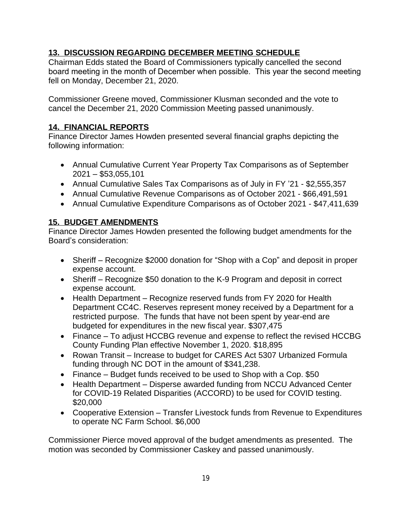# **13. DISCUSSION REGARDING DECEMBER MEETING SCHEDULE**

Chairman Edds stated the Board of Commissioners typically cancelled the second board meeting in the month of December when possible. This year the second meeting fell on Monday, December 21, 2020.

Commissioner Greene moved, Commissioner Klusman seconded and the vote to cancel the December 21, 2020 Commission Meeting passed unanimously.

# **14. FINANCIAL REPORTS**

Finance Director James Howden presented several financial graphs depicting the following information:

- Annual Cumulative Current Year Property Tax Comparisons as of September 2021 – \$53,055,101
- Annual Cumulative Sales Tax Comparisons as of July in FY '21 \$2,555,357
- Annual Cumulative Revenue Comparisons as of October 2021 \$66,491,591
- Annual Cumulative Expenditure Comparisons as of October 2021 \$47,411,639

# **15. BUDGET AMENDMENTS**

Finance Director James Howden presented the following budget amendments for the Board's consideration:

- Sheriff Recognize \$2000 donation for "Shop with a Cop" and deposit in proper expense account.
- Sheriff Recognize \$50 donation to the K-9 Program and deposit in correct expense account.
- Health Department Recognize reserved funds from FY 2020 for Health Department CC4C. Reserves represent money received by a Department for a restricted purpose. The funds that have not been spent by year-end are budgeted for expenditures in the new fiscal year. \$307,475
- Finance To adjust HCCBG revenue and expense to reflect the revised HCCBG County Funding Plan effective November 1, 2020. \$18,895
- Rowan Transit Increase to budget for CARES Act 5307 Urbanized Formula funding through NC DOT in the amount of \$341,238.
- Finance Budget funds received to be used to Shop with a Cop. \$50
- Health Department Disperse awarded funding from NCCU Advanced Center for COVID-19 Related Disparities (ACCORD) to be used for COVID testing. \$20,000
- Cooperative Extension Transfer Livestock funds from Revenue to Expenditures to operate NC Farm School. \$6,000

Commissioner Pierce moved approval of the budget amendments as presented. The motion was seconded by Commissioner Caskey and passed unanimously.